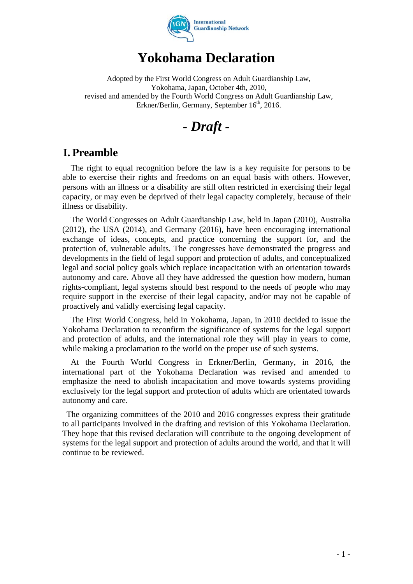

# **Yokohama Declaration**

Adopted by the First World Congress on Adult Guardianship Law, Yokohama, Japan, October 4th, 2010, revised and amended by the Fourth World Congress on Adult Guardianship Law, Erkner/Berlin, Germany, September 16<sup>th</sup>, 2016.

*- Draft -* 

### **I. Preamble**

The right to equal recognition before the law is a key requisite for persons to be able to exercise their rights and freedoms on an equal basis with others. However, persons with an illness or a disability are still often restricted in exercising their legal capacity, or may even be deprived of their legal capacity completely, because of their illness or disability.

The World Congresses on Adult Guardianship Law, held in Japan (2010), Australia (2012), the USA (2014), and Germany (2016), have been encouraging international exchange of ideas, concepts, and practice concerning the support for, and the protection of, vulnerable adults. The congresses have demonstrated the progress and developments in the field of legal support and protection of adults, and conceptualized legal and social policy goals which replace incapacitation with an orientation towards autonomy and care. Above all they have addressed the question how modern, human rights-compliant, legal systems should best respond to the needs of people who may require support in the exercise of their legal capacity, and/or may not be capable of proactively and validly exercising legal capacity.

The First World Congress, held in Yokohama, Japan, in 2010 decided to issue the Yokohama Declaration to reconfirm the significance of systems for the legal support and protection of adults, and the international role they will play in years to come, while making a proclamation to the world on the proper use of such systems.

At the Fourth World Congress in Erkner/Berlin, Germany, in 2016, the international part of the Yokohama Declaration was revised and amended to emphasize the need to abolish incapacitation and move towards systems providing exclusively for the legal support and protection of adults which are orientated towards autonomy and care.

The organizing committees of the 2010 and 2016 congresses express their gratitude to all participants involved in the drafting and revision of this Yokohama Declaration. They hope that this revised declaration will contribute to the ongoing development of systems for the legal support and protection of adults around the world, and that it will continue to be reviewed.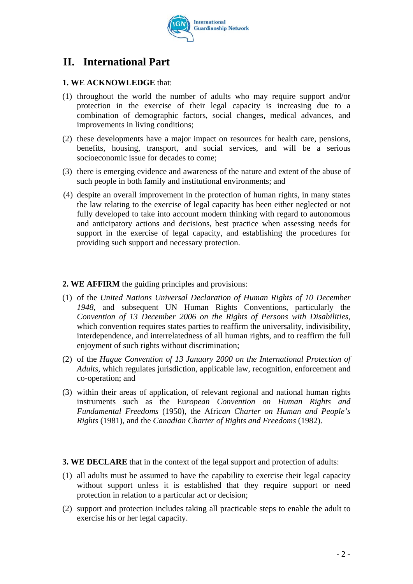

## **II. International Part**

#### **1. WE ACKNOWLEDGE** that:

- (1) throughout the world the number of adults who may require support and/or protection in the exercise of their legal capacity is increasing due to a combination of demographic factors, social changes, medical advances, and improvements in living conditions;
- (2) these developments have a major impact on resources for health care, pensions, benefits, housing, transport, and social services, and will be a serious socioeconomic issue for decades to come;
- (3) there is emerging evidence and awareness of the nature and extent of the abuse of such people in both family and institutional environments; and
- (4) despite an overall improvement in the protection of human rights, in many states the law relating to the exercise of legal capacity has been either neglected or not fully developed to take into account modern thinking with regard to autonomous and anticipatory actions and decisions, best practice when assessing needs for support in the exercise of legal capacity, and establishing the procedures for providing such support and necessary protection.

#### **2. WE AFFIRM** the guiding principles and provisions:

- (1) of the *United Nations Universal Declaration of Human Rights of 10 December 1948,* and subsequent UN Human Rights Conventions, particularly the *Convention of 13 December 2006 on the Rights of Persons with Disabilities*, which convention requires states parties to reaffirm the universality, indivisibility, interdependence, and interrelatedness of all human rights, and to reaffirm the full enjoyment of such rights without discrimination;
- (2) of the *Hague Convention of 13 January 2000 on the International Protection of Adults,* which regulates jurisdiction, applicable law, recognition, enforcement and co-operation; and
- (3) within their areas of application, of relevant regional and national human rights instruments such as the Eu*ropean Convention on Human Rights and Fundamental Freedoms* (1950), the Afri*can Charter on Human and People's Rights* (1981), and the *Canadian Charter of Rights and Freedoms* (1982).

**3. WE DECLARE** that in the context of the legal support and protection of adults:

- (1) all adults must be assumed to have the capability to exercise their legal capacity without support unless it is established that they require support or need protection in relation to a particular act or decision;
- (2) support and protection includes taking all practicable steps to enable the adult to exercise his or her legal capacity.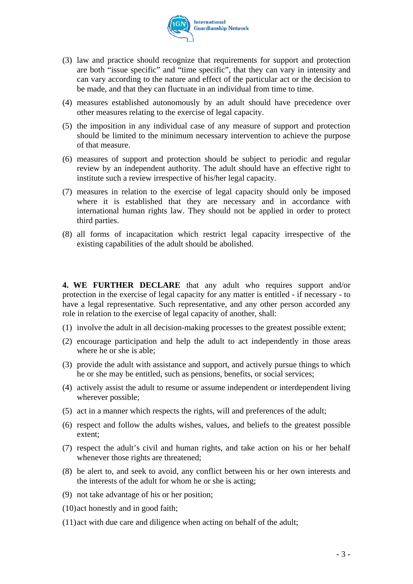

- (3) law and practice should recognize that requirements for support and protection are both "issue specific" and "time specific", that they can vary in intensity and can vary according to the nature and effect of the particular act or the decision to be made, and that they can fluctuate in an individual from time to time.
- (4) measures established autonomously by an adult should have precedence over other measures relating to the exercise of legal capacity.
- (5) the imposition in any individual case of any measure of support and protection should be limited to the minimum necessary intervention to achieve the purpose of that measure.
- (6) measures of support and protection should be subject to periodic and regular review by an independent authority. The adult should have an effective right to institute such a review irrespective of his/her legal capacity.
- (7) measures in relation to the exercise of legal capacity should only be imposed where it is established that they are necessary and in accordance with international human rights law. They should not be applied in order to protect third parties.
- (8) all forms of incapacitation which restrict legal capacity irrespective of the existing capabilities of the adult should be abolished.

**4. WE FURTHER DECLARE** that any adult who requires support and/or protection in the exercise of legal capacity for any matter is entitled - if necessary - to have a legal representative. Such representative, and any other person accorded any role in relation to the exercise of legal capacity of another, shall:

- (1) involve the adult in all decision-making processes to the greatest possible extent;
- (2) encourage participation and help the adult to act independently in those areas where he or she is able;
- (3) provide the adult with assistance and support, and actively pursue things to which he or she may be entitled, such as pensions, benefits, or social services;
- (4) actively assist the adult to resume or assume independent or interdependent living wherever possible;
- (5) act in a manner which respects the rights, will and preferences of the adult;
- (6) respect and follow the adults wishes, values, and beliefs to the greatest possible extent;
- (7) respect the adult's civil and human rights, and take action on his or her behalf whenever those rights are threatened;
- (8) be alert to, and seek to avoid, any conflict between his or her own interests and the interests of the adult for whom he or she is acting;
- (9) not take advantage of his or her position;
- (10)act honestly and in good faith;
- (11)act with due care and diligence when acting on behalf of the adult;